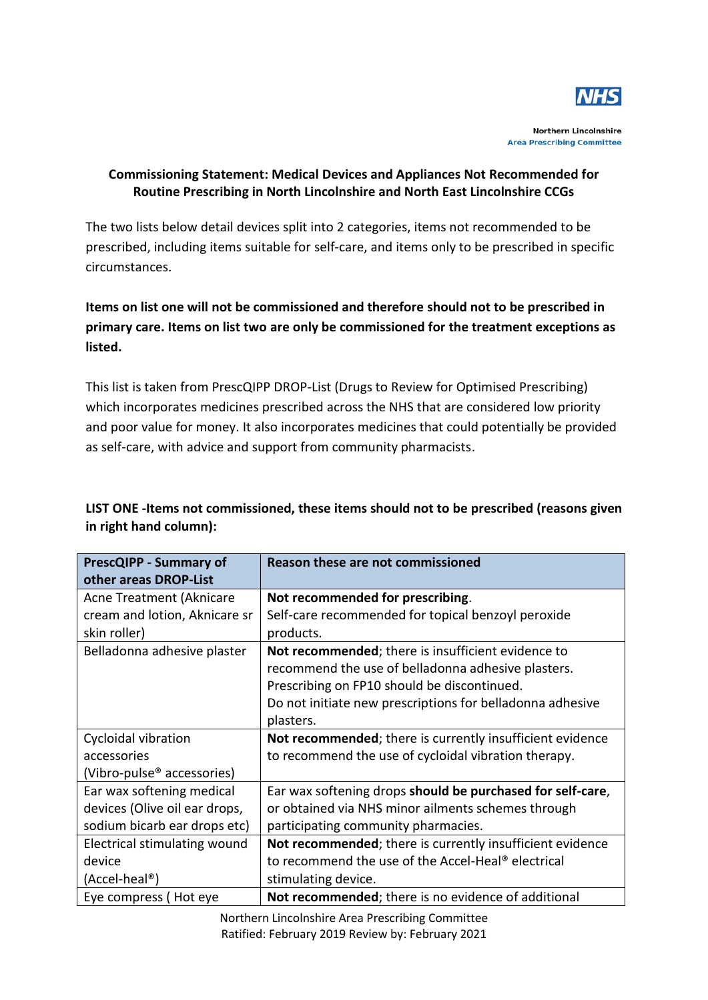

**Northern Lincolnshire Area Prescribing Committee** 

## **Commissioning Statement: Medical Devices and Appliances Not Recommended for Routine Prescribing in North Lincolnshire and North East Lincolnshire CCGs**

The two lists below detail devices split into 2 categories, items not recommended to be prescribed, including items suitable for self-care, and items only to be prescribed in specific circumstances.

## **Items on list one will not be commissioned and therefore should not to be prescribed in primary care. Items on list two are only be commissioned for the treatment exceptions as listed.**

This list is taken from PrescQIPP DROP-List (Drugs to Review for Optimised Prescribing) which incorporates medicines prescribed across the NHS that are considered low priority and poor value for money. It also incorporates medicines that could potentially be provided as self-care, with advice and support from community pharmacists.

| <b>PrescQIPP - Summary of</b>          | <b>Reason these are not commissioned</b>                       |
|----------------------------------------|----------------------------------------------------------------|
| other areas DROP-List                  |                                                                |
| Acne Treatment (Aknicare               | Not recommended for prescribing.                               |
| cream and lotion, Aknicare sr          | Self-care recommended for topical benzoyl peroxide             |
| skin roller)                           | products.                                                      |
| Belladonna adhesive plaster            | Not recommended; there is insufficient evidence to             |
|                                        | recommend the use of belladonna adhesive plasters.             |
|                                        | Prescribing on FP10 should be discontinued.                    |
|                                        | Do not initiate new prescriptions for belladonna adhesive      |
|                                        | plasters.                                                      |
| Cycloidal vibration                    | Not recommended; there is currently insufficient evidence      |
| accessories                            | to recommend the use of cycloidal vibration therapy.           |
| (Vibro-pulse <sup>®</sup> accessories) |                                                                |
| Ear wax softening medical              | Ear wax softening drops should be purchased for self-care,     |
| devices (Olive oil ear drops,          | or obtained via NHS minor ailments schemes through             |
| sodium bicarb ear drops etc)           | participating community pharmacies.                            |
| Electrical stimulating wound           | Not recommended; there is currently insufficient evidence      |
| device                                 | to recommend the use of the Accel-Heal <sup>®</sup> electrical |
| (Accel-heal®)                          | stimulating device.                                            |
| Eye compress (Hot eye                  | Not recommended; there is no evidence of additional            |

## **LIST ONE -Items not commissioned, these items should not to be prescribed (reasons given in right hand column):**

Northern Lincolnshire Area Prescribing Committee Ratified: February 2019 Review by: February 2021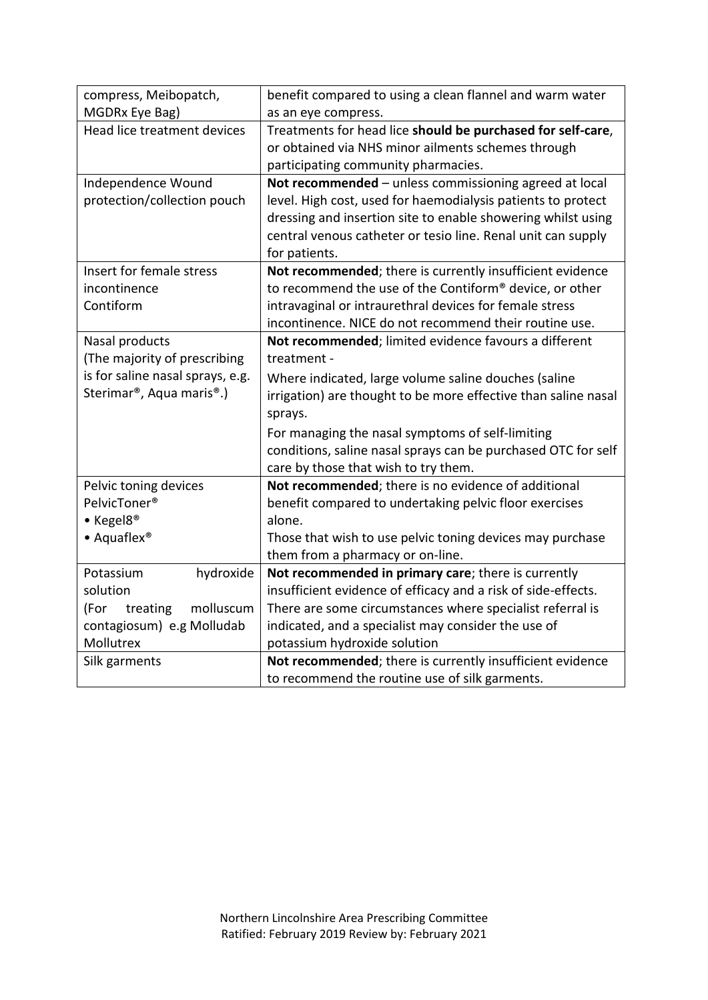| compress, Meibopatch,                              | benefit compared to using a clean flannel and warm water       |
|----------------------------------------------------|----------------------------------------------------------------|
| MGDRx Eye Bag)                                     | as an eye compress.                                            |
| Head lice treatment devices                        | Treatments for head lice should be purchased for self-care,    |
|                                                    | or obtained via NHS minor ailments schemes through             |
|                                                    | participating community pharmacies.                            |
| Independence Wound                                 | Not recommended - unless commissioning agreed at local         |
| protection/collection pouch                        | level. High cost, used for haemodialysis patients to protect   |
|                                                    | dressing and insertion site to enable showering whilst using   |
|                                                    | central venous catheter or tesio line. Renal unit can supply   |
|                                                    | for patients.                                                  |
| Insert for female stress                           | Not recommended; there is currently insufficient evidence      |
| incontinence                                       | to recommend the use of the Contiform® device, or other        |
| Contiform                                          | intravaginal or intraurethral devices for female stress        |
|                                                    | incontinence. NICE do not recommend their routine use.         |
| Nasal products                                     | Not recommended; limited evidence favours a different          |
| (The majority of prescribing                       | treatment -                                                    |
| is for saline nasal sprays, e.g.                   | Where indicated, large volume saline douches (saline           |
| Sterimar <sup>®</sup> , Aqua maris <sup>®</sup> .) | irrigation) are thought to be more effective than saline nasal |
|                                                    | sprays.                                                        |
|                                                    | For managing the nasal symptoms of self-limiting               |
|                                                    | conditions, saline nasal sprays can be purchased OTC for self  |
|                                                    | care by those that wish to try them.                           |
| Pelvic toning devices                              | Not recommended; there is no evidence of additional            |
| PelvicToner <sup>®</sup>                           | benefit compared to undertaking pelvic floor exercises         |
| • Kegel8 <sup>®</sup>                              | alone.                                                         |
| $\bullet$ Aquaflex <sup>®</sup>                    | Those that wish to use pelvic toning devices may purchase      |
|                                                    | them from a pharmacy or on-line.                               |
| Potassium<br>hydroxide                             | Not recommended in primary care; there is currently            |
| solution                                           | insufficient evidence of efficacy and a risk of side-effects.  |
| (For<br>treating<br>molluscum                      | There are some circumstances where specialist referral is      |
| contagiosum) e.g Molludab                          | indicated, and a specialist may consider the use of            |
| Mollutrex                                          | potassium hydroxide solution                                   |
| Silk garments                                      | Not recommended; there is currently insufficient evidence      |
|                                                    | to recommend the routine use of silk garments.                 |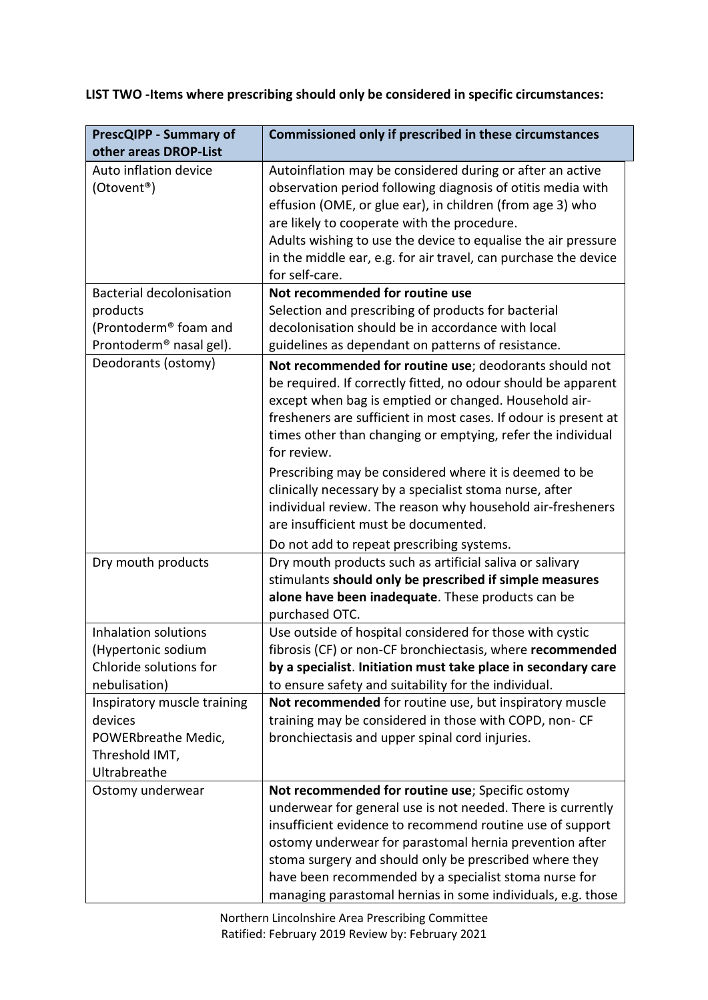**LIST TWO -Items where prescribing should only be considered in specific circumstances:**

| <b>PrescQIPP - Summary of</b>       | <b>Commissioned only if prescribed in these circumstances</b>                                                                                                                                                                                                                                                                                                                              |
|-------------------------------------|--------------------------------------------------------------------------------------------------------------------------------------------------------------------------------------------------------------------------------------------------------------------------------------------------------------------------------------------------------------------------------------------|
| other areas DROP-List               |                                                                                                                                                                                                                                                                                                                                                                                            |
| Auto inflation device<br>(Otovent®) | Autoinflation may be considered during or after an active<br>observation period following diagnosis of otitis media with<br>effusion (OME, or glue ear), in children (from age 3) who<br>are likely to cooperate with the procedure.<br>Adults wishing to use the device to equalise the air pressure<br>in the middle ear, e.g. for air travel, can purchase the device<br>for self-care. |
| <b>Bacterial decolonisation</b>     | Not recommended for routine use                                                                                                                                                                                                                                                                                                                                                            |
| products                            | Selection and prescribing of products for bacterial                                                                                                                                                                                                                                                                                                                                        |
| (Prontoderm® foam and               | decolonisation should be in accordance with local                                                                                                                                                                                                                                                                                                                                          |
| Prontoderm <sup>®</sup> nasal gel). | guidelines as dependant on patterns of resistance.                                                                                                                                                                                                                                                                                                                                         |
| Deodorants (ostomy)                 | Not recommended for routine use; deodorants should not                                                                                                                                                                                                                                                                                                                                     |
|                                     | be required. If correctly fitted, no odour should be apparent<br>except when bag is emptied or changed. Household air-<br>fresheners are sufficient in most cases. If odour is present at<br>times other than changing or emptying, refer the individual<br>for review.                                                                                                                    |
|                                     | Prescribing may be considered where it is deemed to be                                                                                                                                                                                                                                                                                                                                     |
|                                     | clinically necessary by a specialist stoma nurse, after                                                                                                                                                                                                                                                                                                                                    |
|                                     | individual review. The reason why household air-fresheners                                                                                                                                                                                                                                                                                                                                 |
|                                     | are insufficient must be documented.                                                                                                                                                                                                                                                                                                                                                       |
|                                     | Do not add to repeat prescribing systems.                                                                                                                                                                                                                                                                                                                                                  |
| Dry mouth products                  | Dry mouth products such as artificial saliva or salivary<br>stimulants should only be prescribed if simple measures<br>alone have been inadequate. These products can be<br>purchased OTC.                                                                                                                                                                                                 |
| Inhalation solutions                | Use outside of hospital considered for those with cystic                                                                                                                                                                                                                                                                                                                                   |
| (Hypertonic sodium                  | fibrosis (CF) or non-CF bronchiectasis, where recommended                                                                                                                                                                                                                                                                                                                                  |
| Chloride solutions for              | by a specialist. Initiation must take place in secondary care                                                                                                                                                                                                                                                                                                                              |
| nebulisation)                       | to ensure safety and suitability for the individual.                                                                                                                                                                                                                                                                                                                                       |
| Inspiratory muscle training         | Not recommended for routine use, but inspiratory muscle                                                                                                                                                                                                                                                                                                                                    |
| devices                             | training may be considered in those with COPD, non-CF                                                                                                                                                                                                                                                                                                                                      |
| POWERbreathe Medic,                 | bronchiectasis and upper spinal cord injuries.                                                                                                                                                                                                                                                                                                                                             |
| Threshold IMT,                      |                                                                                                                                                                                                                                                                                                                                                                                            |
| Ultrabreathe                        |                                                                                                                                                                                                                                                                                                                                                                                            |
| Ostomy underwear                    | Not recommended for routine use; Specific ostomy                                                                                                                                                                                                                                                                                                                                           |
|                                     | underwear for general use is not needed. There is currently                                                                                                                                                                                                                                                                                                                                |
|                                     | insufficient evidence to recommend routine use of support                                                                                                                                                                                                                                                                                                                                  |
|                                     | ostomy underwear for parastomal hernia prevention after                                                                                                                                                                                                                                                                                                                                    |
|                                     | stoma surgery and should only be prescribed where they<br>have been recommended by a specialist stoma nurse for                                                                                                                                                                                                                                                                            |
|                                     | managing parastomal hernias in some individuals, e.g. those                                                                                                                                                                                                                                                                                                                                |

Northern Lincolnshire Area Prescribing Committee Ratified: February 2019 Review by: February 2021